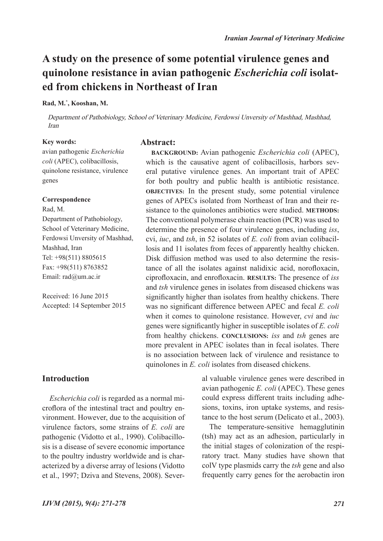## **A study on the presence of some potential virulence genes and quinolone resistance in avian pathogenic** *Escherichia coli* **isolated from chickens in Northeast of Iran**

#### **Rad, M.\* , Kooshan, M.**

Department of Pathobiology, School of Veterinary Medicine, Ferdowsi Unversity of Mashhad, Mashhad, Iran

#### **Key words:**

**Abstract:**

avian pathogenic *Escherichia coli* (APEC), colibacillosis, quinolone resistance, virulence genes

#### **Correspondence**

Rad, M. Department of Pathobiology, School of Veterinary Medicine, Ferdowsi Unversity of Mashhad, Mashhad, Iran Tel: +98(511) 8805615 Fax: +98(511) 8763852 Email: rad@um.ac.ir

Received: 16 June 2015 Accepted: 14 September 2015

**BACKGROUND:** Avian pathogenic *Escherichia coli* (APEC), which is the causative agent of colibacillosis, harbors several putative virulence genes. An important trait of APEC for both poultry and public health is antibiotic resistance. **OBJECTIVES:** In the present study, some potential virulence genes of APECs isolated from Northeast of Iran and their resistance to the quinolones antibiotics were studied. **METHODS:** The conventional polymerase chain reaction (PCR) was used to determine the presence of four virulence genes, including *iss*, cvi, *iuc*, and *tsh*, in 52 isolates of *E. coli* from avian colibacillosis and 11 isolates from feces of apparently healthy chicken. Disk diffusion method was used to also determine the resistance of all the isolates against nalidixic acid, norofloxacin, ciprofloxacin, and enrofloxacin. **RESULTS:** The presence of *iss* and *tsh* virulence genes in isolates from diseased chickens was significantly higher than isolates from healthy chickens. There was no significant difference between APEC and fecal *E. coli* when it comes to quinolone resistance. However, *cvi* and *iuc* genes were significantly higher in susceptible isolates of *E. coli* from healthy chickens. **CONCLUSIONS:** *iss* and *tsh* genes are more prevalent in APEC isolates than in fecal isolates. There is no association between lack of virulence and resistance to quinolones in *E. coli* isolates from diseased chickens.

## **Introduction**

*Escherichia coli* is regarded as a normal microflora of the intestinal tract and poultry environment. However, due to the acquisition of virulence factors, some strains of *E. coli* are pathogenic (Vidotto et al., 1990). Colibacillosis is a disease of severe economic importance to the poultry industry worldwide and is characterized by a diverse array of lesions (Vidotto et al., 1997; Dziva and Stevens, 2008). Several valuable virulence genes were described in avian pathogenic *E. coli* (APEC). These genes could express different traits including adhesions, toxins, iron uptake systems, and resistance to the host serum (Delicato et al., 2003).

The temperature-sensitive hemagglutinin (tsh) may act as an adhesion, particularly in the initial stages of colonization of the respiratory tract. Many studies have shown that colV type plasmids carry the *tsh* gene and also frequently carry genes for the aerobactin iron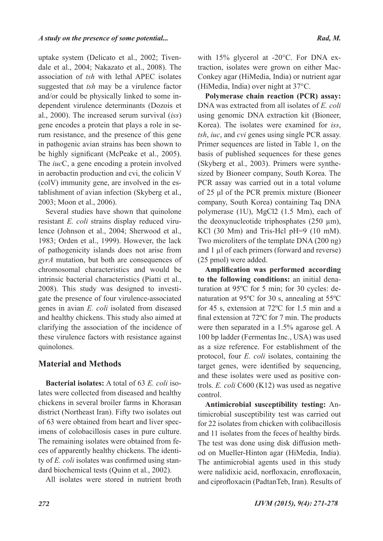uptake system (Delicato et al., 2002; Tivendale et al., 2004; Nakazato et al., 2008). The association of *tsh* with lethal APEC isolates suggested that *tsh* may be a virulence factor and/or could be physically linked to some independent virulence determinants (Dozois et al., 2000). The increased serum survival (*iss*) gene encodes a protein that plays a role in serum resistance, and the presence of this gene in pathogenic avian strains has been shown to be highly significant (McPeake et al., 2005). The *iuc*C, a gene encoding a protein involved in aerobactin production and cvi, the colicin V (colV) immunity gene, are involved in the establishment of avian infection (Skyberg et al., 2003; Moon et al., 2006).

Several studies have shown that quinolone resistant *E. coli* strains display reduced virulence (Johnson et al., 2004; Sherwood et al., 1983; Orden et al., 1999). However, the lack of pathogenicity islands does not arise from *gyrA* mutation, but both are consequences of chromosomal characteristics and would be intrinsic bacterial characteristics (Piatti et al., 2008). This study was designed to investigate the presence of four virulence-associated genes in avian *E. coli* isolated from diseased and healthy chickens. This study also aimed at clarifying the association of the incidence of these virulence factors with resistance against quinolones.

## **Material and Methods**

**Bacterial isolates:** A total of 63 *E. coli* isolates were collected from diseased and healthy chickens in several broiler farms in Khorasan district (Northeast Iran). Fifty two isolates out of 63 were obtained from heart and liver specimens of colobacillosis cases in pure culture. The remaining isolates were obtained from feces of apparently healthy chickens. The identity of *E. coli* isolates was confirmed using standard biochemical tests (Quinn et al., 2002).

All isolates were stored in nutrient broth

with 15% glycerol at -20°C. For DNA extraction, isolates were grown on either Mac-Conkey agar (HiMedia, India) or nutrient agar (HiMedia, India) over night at 37°C.

**Polymerase chain reaction (PCR) assay:**  DNA was extracted from all isolates of *E. coli* using genomic DNA extraction kit (Bioneer, Korea). The isolates were examined for *iss*, *tsh*, *iuc*, and *cvi* genes using single PCR assay. Primer sequences are listed in Table 1, on the basis of published sequences for these genes (Skyberg et al., 2003). Primers were synthesized by Bioneer company, South Korea. The PCR assay was carried out in a total volume of 25 μl of the PCR premix mixture (Bioneer company, South Korea) containing Taq DNA polymerase (1U), MgCl2 (1.5 Mm), each of the deoxynucleotide triphosphates  $(250 \mu m)$ , KCl (30 Mm) and Tris-Hcl pH=9 (10 mM). Two microliters of the template DNA (200 ng) and 1 µl of each primers (forward and reverse) (25 pmol) were added.

**Amplification was performed according to the following conditions:** an initial denaturation at 95ºC for 5 min; for 30 cycles: denaturation at 95ºC for 30 s, annealing at 55ºC for 45 s, extension at 72ºC for 1.5 min and a final extension at 72ºC for 7 min. The products were then separated in a 1.5% agarose gel. A 100 bp ladder (Fermentas Inc., USA) was used as a size reference. For establishment of the protocol, four *E. coli* isolates, containing the target genes, were identified by sequencing, and these isolates were used as positive controls. *E. coli* C600 (K12) was used as negative control.

**Antimicrobial susceptibility testing:** Antimicrobial susceptibility test was carried out for 22 isolates from chicken with colibacillosis and 11 isolates from the feces of healthy birds. The test was done using disk diffusion method on Mueller-Hinton agar (HiMedia, India). The antimicrobial agents used in this study were nalidixic acid, norfloxacin, enrofloxacin, and ciprofloxacin (PadtanTeb, Iran). Results of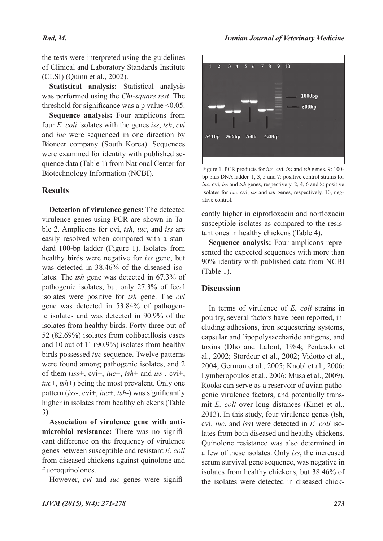### *Rad, M.*

the tests were interpreted using the guidelines of Clinical and Laboratory Standards Institute (CLSI) (Quinn et al., 2002).

**Statistical analysis:** Statistical analysis was performed using the *Chi-square test*. The threshold for significance was a p value  $\leq 0.05$ .

**Sequence analysis:** Four amplicons from four *E. coli* isolates with the genes *iss*, *tsh*, *cvi*  and *iuc* were sequenced in one direction by Bioneer company (South Korea). Sequences were examined for identity with published sequence data (Table 1) from National Center for Biotechnology Information (NCBI).

## **Results**

**Detection of virulence genes:** The detected virulence genes using PCR are shown in Table 2. Amplicons for cvi, *tsh*, *iuc*, and *iss* are easily resolved when compared with a standard 100-bp ladder (Figure 1). Isolates from healthy birds were negative for *iss* gene, but was detected in 38.46% of the diseased isolates. The *tsh* gene was detected in 67.3% of pathogenic isolates, but only 27.3% of fecal isolates were positive for *tsh* gene. The *cvi*  gene was detected in 53.84% of pathogenic isolates and was detected in 90.9% of the isolates from healthy birds. Forty-three out of 52 (82.69%) isolates from colibacillosis cases and 10 out of 11 (90.9%) isolates from healthy birds possessed *iuc* sequence. Twelve patterns were found among pathogenic isolates, and 2 of them (*iss*+, cvi+, *iuc*+, *tsh*+ and *iss*-, cvi+, *iuc*+, *tsh*+) being the most prevalent. Only one pattern (*iss*-, cvi+, *iuc*+, *tsh*-) was significantly higher in isolates from healthy chickens (Table 3).

**Association of virulence gene with antimicrobial resistance:** There was no significant difference on the frequency of virulence genes between susceptible and resistant *E. coli* from diseased chickens against quinolone and fluoroquinolones.

However, *cvi* and *iuc* genes were signifi-



Figure 1. PCR products for *iuc*, cvi, *iss* and *tsh* genes. 9: 100 bp plus DNA ladder. 1, 3, 5 and 7: positive control strains for *iuc*, cvi, *iss* and *tsh* genes, respectively. 2, 4, 6 and 8: positive isolates for *iuc*, cvi, *iss* and *tsh* genes, respectively. 10, negative control.

cantly higher in ciprofloxacin and norfloxacin susceptible isolates as compared to the resistant ones in healthy chickens (Table 4).

**Sequence analysis:** Four amplicons represented the expected sequences with more than 90% identity with published data from NCBI (Table 1).

## **Discussion**

In terms of virulence of *E. coli* strains in poultry, several factors have been reported, including adhesions, iron sequestering systems, capsular and lipopolysaccharide antigens, and toxins (Dho and Lafont, 1984; Penteado et al., 2002; Stordeur et al., 2002; Vidotto et al., 2004; Germon et al., 2005; Knobl et al., 2006; Lymberopoulos et al., 2006; Musa et al., 2009). Rooks can serve as a reservoir of avian pathogenic virulence factors, and potentially transmit *E. coli* over long distances (Kmet et al., 2013). In this study, four virulence genes (tsh, cvi, *iuc*, and *iss*) were detected in *E. coli* isolates from both diseased and healthy chickens. Quinolone resistance was also determined in a few of these isolates. Only *iss*, the increased serum survival gene sequence, was negative in isolates from healthy chickens, but 38.46% of the isolates were detected in diseased chick-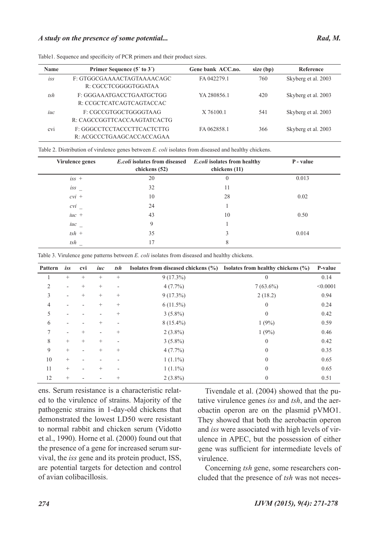| <b>Name</b> | Primer Sequence (5' to 3')                              | Gene bank ACC.no. | size (bp) | Reference           |
|-------------|---------------------------------------------------------|-------------------|-----------|---------------------|
| $i_{SS}$    | F: GTGGCGAAAACTAGTAAAACAGC<br>R: CGCCTCGGGGTGGATAA      | FA 042279.1       | 760       | Skyberg et al. 2003 |
| tsh         | F: GGGAAATGACCTGAATGCTGG<br>R: CCGCTCATCAGTCAGTACCAC    | YA 280856.1       | 420       | Skyberg et al. 2003 |
| iuc         | F: CGCCGTGGCTGGGGTAAG<br>R: CAGCCGGTTCACCAAGTATCACTG    | X 76100.1         | 541       | Skyberg et al. 2003 |
| cvi         | F: GGGCCTCCTACCCTTCACTCTTG<br>R: ACGCCCTGAAGCACCACCAGAA | FA 062858.1       | 366       | Skyberg et al. 2003 |

Table1. Sequence and specificity of PCR primers and their product sizes.

Table 2. Distribution of virulence genes between *E. coli* isolates from diseased and healthy chickens.

| <b>Virulence genes</b> | <i>E.coli</i> isolates from diseased<br>chickens (52) | <i>E.coli</i> isolates from healthy<br>chickens (11) | P - value |
|------------------------|-------------------------------------------------------|------------------------------------------------------|-----------|
| $iss$ +                | 20                                                    | $\theta$                                             | 0.013     |
| $i_{SS}$               | 32                                                    | 11                                                   |           |
| $cvi$ +                | 10                                                    | 28                                                   | 0.02      |
| cvi                    | 24                                                    |                                                      |           |
| $iuc +$                | 43                                                    | 10                                                   | 0.50      |
| $iuc$ <sub>-</sub>     | 9                                                     |                                                      |           |
| $tsh +$                | 35                                                    | 3                                                    | 0.014     |
| tsh                    | 17                                                    | 8                                                    |           |

Table 3. Virulence gene patterns between *E. coli* isolates from diseased and healthy chickens.

| Pattern | iss                      | cvi    | iuc                      | tsh    | Isolates from diseased chickens $(\% )$ | Isolates from healthy chickens $(\% )$ | P-value  |
|---------|--------------------------|--------|--------------------------|--------|-----------------------------------------|----------------------------------------|----------|
|         | $+$                      | $^{+}$ | $^{+}$                   | $+$    | $9(17.3\%)$                             | $\theta$                               | 0.14     |
| 2       | $\overline{\phantom{a}}$ | $^{+}$ | $^{+}$                   |        | $4(7.7\%)$                              | $7(63.6\%)$                            | < 0.0001 |
| 3       | $\overline{\phantom{a}}$ | $^{+}$ | $^{+}$                   | $^{+}$ | $9(17.3\%)$                             | 2(18.2)                                | 0.94     |
| 4       |                          |        | $^{+}$                   | $^{+}$ | $6(11.5\%)$                             | $\theta$                               | 0.24     |
| 5       |                          |        |                          | $^{+}$ | $3(5.8\%)$                              | $\mathbf{0}$                           | 0.42     |
| 6       |                          |        | $^{+}$                   |        | $8(15.4\%)$                             | 1(9%)                                  | 0.59     |
| 7       |                          | $^{+}$ | ۰                        | $^{+}$ | $2(3.8\%)$                              | 1(9%)                                  | 0.46     |
| 8       | $+$                      | $^{+}$ | $+$                      |        | $3(5.8\%)$                              | $\theta$                               | 0.42     |
| 9       | $+$                      |        | $^{+}$                   | $^{+}$ | $4(7.7\%)$                              | $\theta$                               | 0.35     |
| 10      | $+$                      |        | $\overline{\phantom{0}}$ |        | $1(1.1\%)$                              | $\theta$                               | 0.65     |
| 11      | $\! + \!\!\!\!$          |        | $^{+}$                   |        | $1(1.1\%)$                              | $\theta$                               | 0.65     |
| 12      | $+$                      |        |                          | $^{+}$ | $2(3.8\%)$                              | $\overline{0}$                         | 0.51     |

ens. Serum resistance is a characteristic related to the virulence of strains. Majority of the pathogenic strains in 1-day-old chickens that demonstrated the lowest LD50 were resistant to normal rabbit and chicken serum (Vidotto et al., 1990). Horne et al. (2000) found out that the presence of a gene for increased serum survival, the *iss* gene and its protein product, ISS, are potential targets for detection and control of avian colibacillosis.

Tivendale et al. (2004) showed that the putative virulence genes *iss* and *tsh*, and the aerobactin operon are on the plasmid pVMO1. They showed that both the aerobactin operon and *iss* were associated with high levels of virulence in APEC, but the possession of either gene was sufficient for intermediate levels of virulence.

Concerning *tsh* gene, some researchers concluded that the presence of *tsh* was not neces-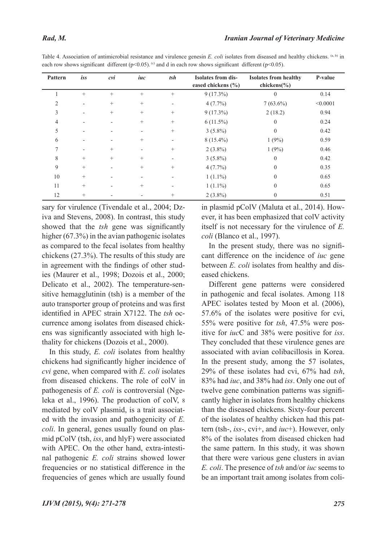| Pattern        | iss                      | cvi                      | iuc    | tsh                      | <b>Isolates from dis-</b><br>eased chickens $(\% )$ | <b>Isolates from healthy</b><br>chickens $\frac{6}{6}$ | P-value  |
|----------------|--------------------------|--------------------------|--------|--------------------------|-----------------------------------------------------|--------------------------------------------------------|----------|
|                | $^{+}$                   | $^{+}$                   | $+$    |                          | $9(17.3\%)$                                         | $\theta$                                               | 0.14     |
| $\overline{2}$ |                          | $+$                      | $+$    | $\overline{\phantom{0}}$ | $4(7.7\%)$                                          | $7(63.6\%)$                                            | < 0.0001 |
| 3              | $\overline{\phantom{a}}$ | $+$                      | $^{+}$ | $^{+}$                   | $9(17.3\%)$                                         | 2(18.2)                                                | 0.94     |
| 4              | $\overline{\phantom{a}}$ | $\overline{\phantom{a}}$ | $+$    |                          | $6(11.5\%)$                                         | $\theta$                                               | 0.24     |
| 5              |                          |                          |        | $^{+}$                   | $3(5.8\%)$                                          | $\theta$                                               | 0.42     |
| 6              |                          | $\overline{\phantom{0}}$ | $+$    | $\overline{\phantom{a}}$ | $8(15.4\%)$                                         | 1(9%)                                                  | 0.59     |
| 7              |                          | $^{+}$                   |        | $^{+}$                   | $2(3.8\%)$                                          | 1(9%)                                                  | 0.46     |
| 8              | $\boldsymbol{+}$         | $+$                      | $+$    | $\overline{\phantom{a}}$ | $3(5.8\%)$                                          | $\theta$                                               | 0.42     |
| 9              | $\boldsymbol{+}$         | $\overline{\phantom{0}}$ | $^{+}$ | $^{+}$                   | 4(7.7%)                                             | $\theta$                                               | 0.35     |
| 10             | $+$                      |                          |        |                          | $1(1.1\%)$                                          | $\theta$                                               | 0.65     |
| 11             | $\boldsymbol{+}$         |                          | $^{+}$ |                          | $1(1.1\%)$                                          | $\theta$                                               | 0.65     |
| 12             | $^{+}$                   |                          |        | $^{+}$                   | $2(3.8\%)$                                          | $\theta$                                               | 0.51     |

Table 4. Association of antimicrobial resistance and virulence genesin *E. coli* isolates from diseased and healthy chickens. (a, b) in each row shows significant different (p<0.05). (c) and d in each row shows significant different (p<0.05).

sary for virulence (Tivendale et al., 2004; Dziva and Stevens, 2008). In contrast, this study showed that the *tsh* gene was significantly higher (67.3%) in the avian pathogenic isolates as compared to the fecal isolates from healthy chickens (27.3%). The results of this study are in agreement with the findings of other studies (Maurer et al., 1998; Dozois et al., 2000; Delicato et al., 2002). The temperature-sensitive hemagglutinin (tsh) is a member of the auto transporter group of proteins and was first identified in APEC strain X7122. The *tsh* occurrence among isolates from diseased chickens was significantly associated with high lethality for chickens (Dozois et al., 2000).

In this study, *E. coli* isolates from healthy chickens had significantly higher incidence of *cvi* gene, when compared with *E. coli* isolates from diseased chickens. The role of colV in pathogenesis of *E. coli* is controversial (Ngeleka et al., 1996). The production of colV, 8 mediated by colV plasmid, is a trait associated with the invasion and pathogenicity of *E. coli*. In general, genes usually found on plasmid pColV (tsh, *iss*, and hlyF) were associated with APEC. On the other hand, extra-intestinal pathogenic *E. coli* strains showed lower frequencies or no statistical difference in the frequencies of genes which are usually found

in plasmid pColV (Maluta et al., 2014). However, it has been emphasized that colV activity itself is not necessary for the virulence of *E. coli* (Blanco et al., 1997).

In the present study, there was no significant difference on the incidence of *iuc* gene between *E. coli* isolates from healthy and diseased chickens.

Different gene patterns were considered in pathogenic and fecal isolates. Among 118 APEC isolates tested by Moon et al. (2006), 57.6% of the isolates were positive for cvi, 55% were positive for *tsh*, 47.5% were positive for *iuc*C and 38% were positive for *iss*. They concluded that these virulence genes are associated with avian colibacillosis in Korea. In the present study, among the 57 isolates, 29% of these isolates had cvi, 67% had *tsh*, 83% had *iuc*, and 38% had *iss*. Only one out of twelve gene combination patterns was significantly higher in isolates from healthy chickens than the diseased chickens. Sixty-four percent of the isolates of healthy chicken had this pattern (tsh-, *iss*-, cvi+, and *iuc*+). However, only 8% of the isolates from diseased chicken had the same pattern. In this study, it was shown that there were various gene clusters in avian *E. coli*. The presence of *tsh* and/or *iuc* seems to be an important trait among isolates from coli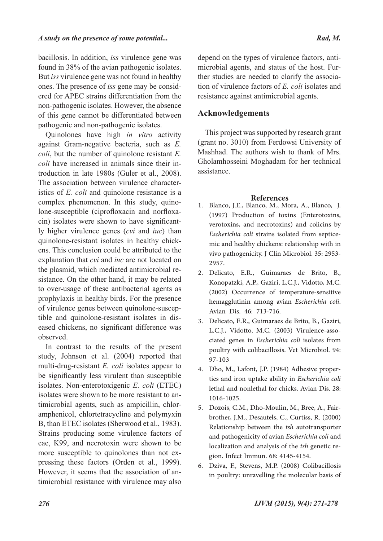bacillosis. In addition, *iss* virulence gene was found in 38% of the avian pathogenic isolates. But *iss* virulence gene was not found in healthy ones. The presence of *iss* gene may be considered for APEC strains differentiation from the non-pathogenic isolates. However, the absence of this gene cannot be differentiated between pathogenic and non-pathogenic isolates.

Quinolones have high *in vitro* activity against Gram-negative bacteria, such as *E. coli*, but the number of quinolone resistant *E. coli* have increased in animals since their introduction in late 1980s (Guler et al., 2008). The association between virulence characteristics of *E. coli* and quinolone resistance is a complex phenomenon. In this study, quinolone-susceptible (ciprofloxacin and norfloxacin) isolates were shown to have significantly higher virulence genes (*cvi* and *iuc*) than quinolone-resistant isolates in healthy chickens. This conclusion could be attributed to the explanation that *cvi* and *iuc* are not located on the plasmid, which mediated antimicrobial resistance. On the other hand, it may be related to over-usage of these antibacterial agents as prophylaxis in healthy birds. For the presence of virulence genes between quinolone-susceptible and quinolone-resistant isolates in diseased chickens, no significant difference was observed.

In contrast to the results of the present study, Johnson et al. (2004) reported that multi-drug-resistant *E. coli* isolates appear to be significantly less virulent than susceptible isolates. Non-enterotoxigenic *E. coli* (ETEC) isolates were shown to be more resistant to antimicrobial agents, such as ampicillin, chloramphenicol, chlortetracycline and polymyxin B, than ETEC isolates (Sherwood et al., 1983). Strains producing some virulence factors of eae, K99, and necrotoxin were shown to be more susceptible to quinolones than not expressing these factors (Orden et al., 1999). However, it seems that the association of antimicrobial resistance with virulence may also

depend on the types of virulence factors, antimicrobial agents, and status of the host. Further studies are needed to clarify the association of virulence factors of *E. coli* isolates and resistance against antimicrobial agents.

#### **Acknowledgements**

This project was supported by research grant (grant no. 3010) from Ferdowsi University of Mashhad. The authors wish to thank of Mrs. Gholamhosseini Moghadam for her technical assistance.

#### **References**

- Blanco, J.E., Blanco, M., Mora, A., Blanco, J. 1. (1997) Production of toxins (Enterotoxins, verotoxins, and necrotoxins) and colicins by *Escherichia coli* strains isolated from septicemic and healthy chickens: relationship with in vivo pathogenicity. J Clin Microbiol. 35: 2953- 2957.
- Delicato, E.R., Guimaraes de Brito, B., 2. Konopatzki, A.P., Gaziri, L.C.J., Vidotto, M.C. (2002) Occurrence of temperature-sensitive hemagglutinin among avian *Escherichia coli*. Avian Dis. 46: 713-716.
- Delicato, E.R., Guimaraes de Brito, B., Gaziri, 3. L.C.J., Vidotto, M.C. (2003) Virulence-associated genes in *Escherichia coli* isolates from poultry with colibacillosis. Vet Microbiol. 94: 97-103
- Dho, M., Lafont, J.P. (1984) Adhesive proper-4. ties and iron uptake ability in *Escherichia coli* lethal and nonlethal for chicks. Avian Dis. 28: 1016-1025.
- Dozois, C.M., Dho-Moulin, M., Bree, A., Fair-5. brother, J.M., Desautels, C., Curtiss, R. (2000) Relationship between the *tsh* autotransporter and pathogenicity of avian *Escherichia coli* and localization and analysis of the *tsh* genetic region. Infect Immun. 68: 4145-4154.
- Dziva, F., Stevens, M.P. (2008) Colibacillosis 6. in poultry: unravelling the molecular basis of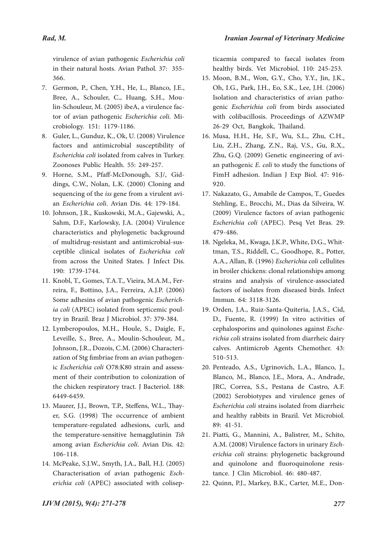virulence of avian pathogenic *Escherichia coli* in their natural hosts. Avian Pathol. 37: 355- 366.

- 7. Germon, P., Chen, Y.H., He, L., Blanco, J.E., Bree, A., Schouler, C., Huang, S.H., Mou-<br>lin-Schouleur, M. (2005) ibeA, a virulence fac-<br>tor of avian pathogenic *Escherichia coli*. Mi-<br>crobiology. 151: 1179-1186.
- Guler, L., Gunduz, K., Ok, U. (2008) Virulence 8. factors and antimicrobial susceptibility of *Escherichia coli* isolated from calves in Turkey. Zoonoses Public Health. 55: 249-257.
- dings, C.W., Nolan, L.K. (2000) Cloning and sequencing of the *iss* gene from a virulent avi- an *Escherichia coli*. Avian Dis. 44: 179-184. 9. Horne, S.M., Pfaff-McDonough, S.J/, Gid-
- 10. Johnson, J.R., Kuskowski, M.A., Gajewski, A., Sahm, D.F., Karlowsky, J.A. (2004) Virulence characteristics and phylogenetic background of multidrug-resistant and antimicrobial-sus- ceptible clinical isolates of *Escherichia coli* from across the United States. J Infect Dis. 190: 1739-1744.
- 11. Knobl, T., Gomes, T.A.T., Vieira, M.A.M., Ferreira, F., Bottino, J.A., Ferreira, A.J.P. (2006) Some adhesins of avian pathogenic *Escherich*<br> *ia coli* (APEC) isolated from septicemic poul-<br>
try in Brazil. Braz J Microbiol. 37: 379-384.
- Lymberopoulos, M.H., Houle, S., Daigle, F., 12. Leveille, S., Bree, A., Moulin-Schouleur, M., Johnson, J.R., Dozois, C.M. (2006) Characterization of Stg fimbriae from an avian pathogen-<br>ic *Escherichia coli* O78:K80 strain and assess-<br>ment of their contribution to colonization of the chicken respiratory tract. J Bacteriol. 188: 6449-6459.
- er, S.G. (1998) The occurrence of ambient temperature-regulated adhesions, curli, and the temperature-sensitive hemagglutinin *Tsh*  among avian *Escherichia coli*. Avian Dis. 42: 106-118. 13. Maurer, J.J., Brown, T.P., Steffens, W.L., Thay-
- McPeake, S.J.W., Smyth, J.A., Ball, H.J. (2005) 14. Characterisation of avian pathogenic *Esch- erichia coli* (APEC) associated with colisep-

ticaemia compared to faecal isolates from healthy birds. Vet Microbiol. 110: 245-253.

- Moon, B.M., Won, G.Y., Cho, Y.Y., Jin, J.K., 15. Oh, I.G., Park, J.H., Eo, S.K., Lee, J.H. (2006) Isolation and characteristics of avian patho- genic *Escherichia coli* from birds associated with colibacillosis. Proceedings of AZWMP 26-29 Oct, Bangkok, Thailand.
- Musa, H.H., He, S.F., Wu, S.L., Zhu, C.H., 16. Liu, Z.H., Zhang, Z.N., Raj, V.S., Gu, R.X., Zhu, G.Q. (2009) Genetic engineering of avi- an pathogenic *E. coli* to study the functions of FimH adhesion. Indian J Exp Biol. 47: 916- 920.
- 17. Nakazato, G., Amabile de Campos, T., Guedes Stehling, E., Brocchi, M., Dias da Silveira, W. (2009) Virulence factors of avian pathogenic *Escherichia coli* (APEC). Pesq Vet Bras. 29: 479-486.
- 18. Ngeleka, M., Kwaga, J.K.P., White, D.G., Whit-<br>tman, T.S., Riddell, C., Goodhope, R., Potter, A.A., Allan, B. (1996) *Escherichia coli* cellulites in broiler chickens: clonal relationships among strains and analysis of virulence-associated factors of isolates from diseased birds. Infect Immun. 64: 3118-3126.
- 19. Orden, J.A., Ruiz-Santa-Quiteria, J.A.S., Cid, D., Fuente, R. (1999) In vitro activities of cephalosporins and quinolones against *Esche� richia coli* strains isolated from diarrheic dairy calves. Antimicrob Agents Chemother. 43: 510-513.
- 20. Penteado, A.S., Ugrinovich, L.A., Blanco, J., Blanco, M., Blanco, J.E., Mora, A., Andrade, JRC, Correa, S.S., Pestana de Castro, A.F. (2002) Serobiotypes and virulence genes of *Escherichia coli* strains isolated from diarrheic and healthy rabbits in Brazil. Vet Microbiol. 89: 41-51.
- 21. Piatti, G., Mannini, A., Balistrer, M., Schito, A.M. (2008) Virulence factors in urinary *Esch-*<br>*erichia coli* strains: phylogenetic background and quinolone and fluoroquinolone resis- tance. J Clin Microbiol. 46: 480-487.
- 22. Quinn, P.J., Markey, B.K., Carter, M.E., Don-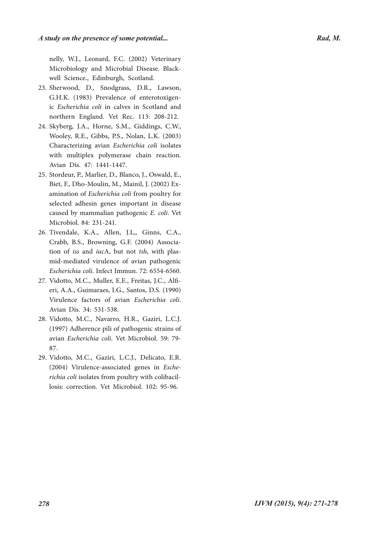nelly, W.J., Leonard, F.C. (2002) Veterinary Microbiology and Microbial Disease. Black- well Science., Edinburgh, Scotland.

- 23. Sherwood, D., Snodgrass, D.R., Lawson, G.H.K. (1983) Prevalence of enterotoxigen- ic *Escherichia coli* in calves in Scotland and northern England. Vet Rec. 113: 208-212.
- 24. Skyberg, J.A., Horne, S.M., Giddings, C.W., Wooley, R.E., Gibbs, P.S., Nolan, L.K. (2003) Characterizing avian *Escherichia coli* isolates with multiplex polymerase chain reaction. Avian Dis. 47: 1441-1447.
- 25. Stordeur, P., Marlier, D., Blanco, J., Oswald, E., Biet, F., Dho-Moulin, M., Mainil, J. (2002) Ex- amination of *Escherichia coli* from poultry for selected adhesin genes important in disease caused by mammalian pathogenic *E. coli*. Vet Microbiol. 84: 231-241.
- 26. Tivendale, K.A., Allen, J.L., Ginns, C.A., Crabb, B.S., Browning, G.F. (2004) Associa- tion of *iss* and *iuc*A, but not *tsh*, with plas- mid-mediated virulence of avian pathogenic *Escherichia coli*. Infect Immun. 72: 6554-6560.
- Vidotto, M.C., Muller, E.E., Freitas, J.C., Alfi- eri, A.A., Guimaraes, I.G., Santos, D.S. (1990) 27. Virulence factors of avian *Escherichia coli*. Avian Dis. 34: 531-538.
- 28. Vidotto, M.C., Navarro, H.R., Gaziri, L.C.J. (1997) Adherence pili of pathogenic strains of avian *Escherichia coli*. Vet Microbiol. 59: 79- 87.
- 29. Vidotto, M.C., Gaziri, L.C.J., Delicato, E.R. (2004) Virulence-associated genes in *Esche� richia coli* isolates from poultry with colibacil- losis: correction. Vet Microbiol. 102: 95-96.